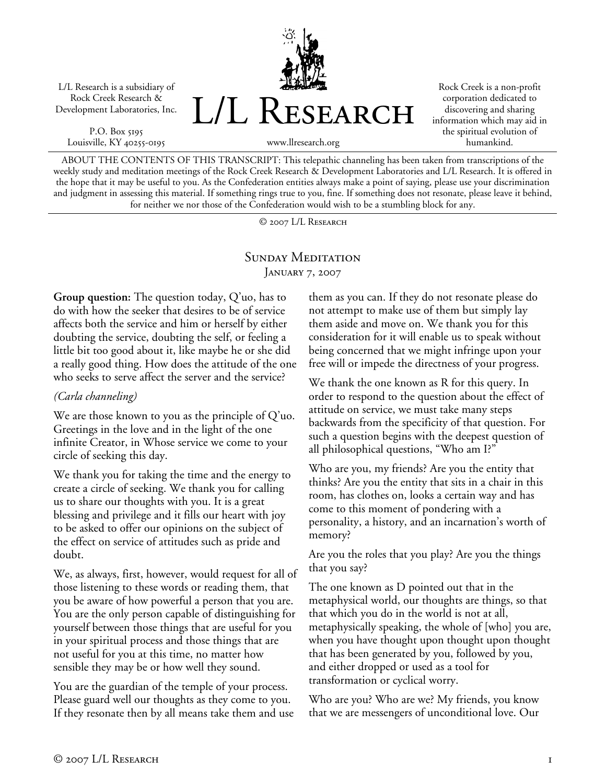L/L Research is a subsidiary of Rock Creek Research & Development Laboratories, Inc.

P.O. Box 5195 Louisville, KY 40255-0195



Rock Creek is a non-profit corporation dedicated to discovering and sharing information which may aid in the spiritual evolution of humankind.

www.llresearch.org

ABOUT THE CONTENTS OF THIS TRANSCRIPT: This telepathic channeling has been taken from transcriptions of the weekly study and meditation meetings of the Rock Creek Research & Development Laboratories and L/L Research. It is offered in the hope that it may be useful to you. As the Confederation entities always make a point of saying, please use your discrimination and judgment in assessing this material. If something rings true to you, fine. If something does not resonate, please leave it behind, for neither we nor those of the Confederation would wish to be a stumbling block for any.

© 2007 L/L Research

## SUNDAY MEDITATION JANUARY 7, 2007

**Group question:** The question today, Q'uo, has to do with how the seeker that desires to be of service affects both the service and him or herself by either doubting the service, doubting the self, or feeling a little bit too good about it, like maybe he or she did a really good thing. How does the attitude of the one who seeks to serve affect the server and the service?

## *(Carla channeling)*

We are those known to you as the principle of Q'uo. Greetings in the love and in the light of the one infinite Creator, in Whose service we come to your circle of seeking this day.

We thank you for taking the time and the energy to create a circle of seeking. We thank you for calling us to share our thoughts with you. It is a great blessing and privilege and it fills our heart with joy to be asked to offer our opinions on the subject of the effect on service of attitudes such as pride and doubt.

We, as always, first, however, would request for all of those listening to these words or reading them, that you be aware of how powerful a person that you are. You are the only person capable of distinguishing for yourself between those things that are useful for you in your spiritual process and those things that are not useful for you at this time, no matter how sensible they may be or how well they sound.

You are the guardian of the temple of your process. Please guard well our thoughts as they come to you. If they resonate then by all means take them and use them as you can. If they do not resonate please do not attempt to make use of them but simply lay them aside and move on. We thank you for this consideration for it will enable us to speak without being concerned that we might infringe upon your free will or impede the directness of your progress.

We thank the one known as R for this query. In order to respond to the question about the effect of attitude on service, we must take many steps backwards from the specificity of that question. For such a question begins with the deepest question of all philosophical questions, "Who am I?"

Who are you, my friends? Are you the entity that thinks? Are you the entity that sits in a chair in this room, has clothes on, looks a certain way and has come to this moment of pondering with a personality, a history, and an incarnation's worth of memory?

Are you the roles that you play? Are you the things that you say?

The one known as D pointed out that in the metaphysical world, our thoughts are things, so that that which you do in the world is not at all, metaphysically speaking, the whole of [who] you are, when you have thought upon thought upon thought that has been generated by you, followed by you, and either dropped or used as a tool for transformation or cyclical worry.

Who are you? Who are we? My friends, you know that we are messengers of unconditional love. Our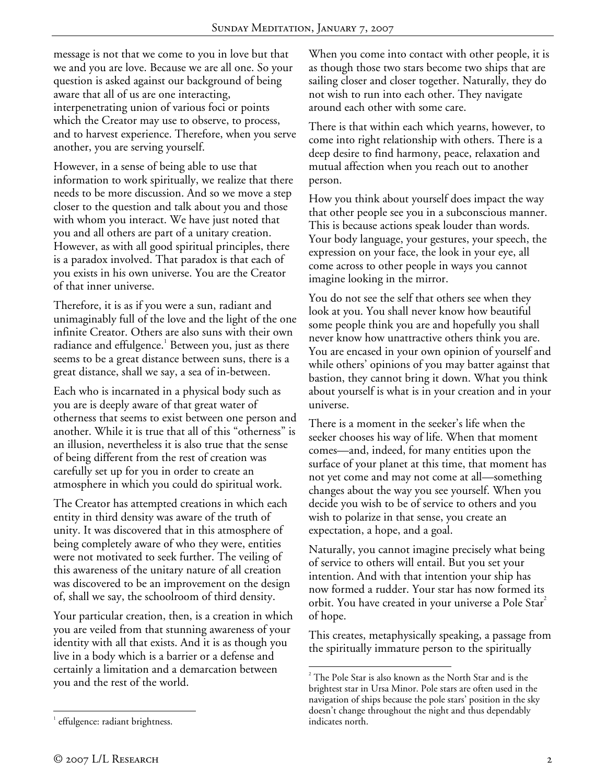message is not that we come to you in love but that we and you are love. Because we are all one. So your question is asked against our background of being aware that all of us are one interacting, interpenetrating union of various foci or points which the Creator may use to observe, to process, and to harvest experience. Therefore, when you serve another, you are serving yourself.

However, in a sense of being able to use that information to work spiritually, we realize that there needs to be more discussion. And so we move a step closer to the question and talk about you and those with whom you interact. We have just noted that you and all others are part of a unitary creation. However, as with all good spiritual principles, there is a paradox involved. That paradox is that each of you exists in his own universe. You are the Creator of that inner universe.

Therefore, it is as if you were a sun, radiant and unimaginably full of the love and the light of the one infinite Creator. Others are also suns with their own radiance and effulgence. $^{\rm 1}$  Between you, just as there seems to be a great distance between suns, there is a great distance, shall we say, a sea of in-between.

Each who is incarnated in a physical body such as you are is deeply aware of that great water of otherness that seems to exist between one person and another. While it is true that all of this "otherness" is an illusion, nevertheless it is also true that the sense of being different from the rest of creation was carefully set up for you in order to create an atmosphere in which you could do spiritual work.

The Creator has attempted creations in which each entity in third density was aware of the truth of unity. It was discovered that in this atmosphere of being completely aware of who they were, entities were not motivated to seek further. The veiling of this awareness of the unitary nature of all creation was discovered to be an improvement on the design of, shall we say, the schoolroom of third density.

Your particular creation, then, is a creation in which you are veiled from that stunning awareness of your identity with all that exists. And it is as though you live in a body which is a barrier or a defense and certainly a limitation and a demarcation between you and the rest of the world.

When you come into contact with other people, it is as though those two stars become two ships that are sailing closer and closer together. Naturally, they do not wish to run into each other. They navigate around each other with some care.

There is that within each which yearns, however, to come into right relationship with others. There is a deep desire to find harmony, peace, relaxation and mutual affection when you reach out to another person.

How you think about yourself does impact the way that other people see you in a subconscious manner. This is because actions speak louder than words. Your body language, your gestures, your speech, the expression on your face, the look in your eye, all come across to other people in ways you cannot imagine looking in the mirror.

You do not see the self that others see when they look at you. You shall never know how beautiful some people think you are and hopefully you shall never know how unattractive others think you are. You are encased in your own opinion of yourself and while others' opinions of you may batter against that bastion, they cannot bring it down. What you think about yourself is what is in your creation and in your universe.

There is a moment in the seeker's life when the seeker chooses his way of life. When that moment comes—and, indeed, for many entities upon the surface of your planet at this time, that moment has not yet come and may not come at all—something changes about the way you see yourself. When you decide you wish to be of service to others and you wish to polarize in that sense, you create an expectation, a hope, and a goal.

Naturally, you cannot imagine precisely what being of service to others will entail. But you set your intention. And with that intention your ship has now formed a rudder. Your star has now formed its orbit. You have created in your universe a Pole Star<sup>2</sup> of hope.

This creates, metaphysically speaking, a passage from the spiritually immature person to the spiritually

1

 $2^2$  The Pole Star is also known as the North Star and is the brightest star in Ursa Minor. Pole stars are often used in the navigation of ships because the pole stars' position in the sky doesn't change throughout the night and thus dependably indicates north.

<sup>1</sup> <sup>1</sup> effulgence: radiant brightness.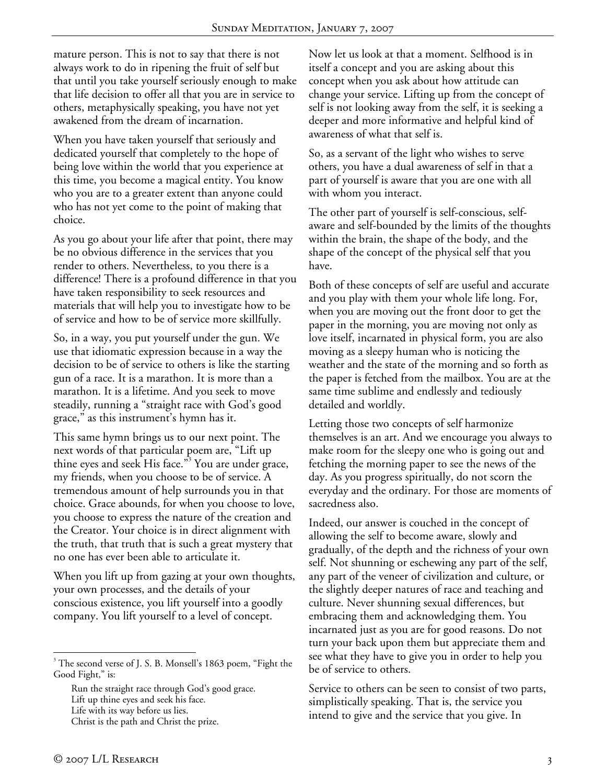mature person. This is not to say that there is not always work to do in ripening the fruit of self but that until you take yourself seriously enough to make that life decision to offer all that you are in service to others, metaphysically speaking, you have not yet awakened from the dream of incarnation.

When you have taken yourself that seriously and dedicated yourself that completely to the hope of being love within the world that you experience at this time, you become a magical entity. You know who you are to a greater extent than anyone could who has not yet come to the point of making that choice.

As you go about your life after that point, there may be no obvious difference in the services that you render to others. Nevertheless, to you there is a difference! There is a profound difference in that you have taken responsibility to seek resources and materials that will help you to investigate how to be of service and how to be of service more skillfully.

So, in a way, you put yourself under the gun. We use that idiomatic expression because in a way the decision to be of service to others is like the starting gun of a race. It is a marathon. It is more than a marathon. It is a lifetime. And you seek to move steadily, running a "straight race with God's good grace," as this instrument's hymn has it.

This same hymn brings us to our next point. The next words of that particular poem are, "Lift up thine eyes and seek His face."<sup>3</sup> You are under grace, my friends, when you choose to be of service. A tremendous amount of help surrounds you in that choice. Grace abounds, for when you choose to love, you choose to express the nature of the creation and the Creator. Your choice is in direct alignment with the truth, that truth that is such a great mystery that no one has ever been able to articulate it.

When you lift up from gazing at your own thoughts, your own processes, and the details of your conscious existence, you lift yourself into a goodly company. You lift yourself to a level of concept.

Run the straight race through God's good grace. Lift up thine eyes and seek his face. Life with its way before us lies. Christ is the path and Christ the prize.

Now let us look at that a moment. Selfhood is in itself a concept and you are asking about this concept when you ask about how attitude can change your service. Lifting up from the concept of self is not looking away from the self, it is seeking a deeper and more informative and helpful kind of awareness of what that self is.

So, as a servant of the light who wishes to serve others, you have a dual awareness of self in that a part of yourself is aware that you are one with all with whom you interact.

The other part of yourself is self-conscious, selfaware and self-bounded by the limits of the thoughts within the brain, the shape of the body, and the shape of the concept of the physical self that you have.

Both of these concepts of self are useful and accurate and you play with them your whole life long. For, when you are moving out the front door to get the paper in the morning, you are moving not only as love itself, incarnated in physical form, you are also moving as a sleepy human who is noticing the weather and the state of the morning and so forth as the paper is fetched from the mailbox. You are at the same time sublime and endlessly and tediously detailed and worldly.

Letting those two concepts of self harmonize themselves is an art. And we encourage you always to make room for the sleepy one who is going out and fetching the morning paper to see the news of the day. As you progress spiritually, do not scorn the everyday and the ordinary. For those are moments of sacredness also.

Indeed, our answer is couched in the concept of allowing the self to become aware, slowly and gradually, of the depth and the richness of your own self. Not shunning or eschewing any part of the self, any part of the veneer of civilization and culture, or the slightly deeper natures of race and teaching and culture. Never shunning sexual differences, but embracing them and acknowledging them. You incarnated just as you are for good reasons. Do not turn your back upon them but appreciate them and see what they have to give you in order to help you be of service to others.

Service to others can be seen to consist of two parts, simplistically speaking. That is, the service you intend to give and the service that you give. In

 $\overline{a}$ 

<sup>&</sup>lt;sup>3</sup> The second verse of J. S. B. Monsell's 1863 poem, "Fight the Good Fight," is: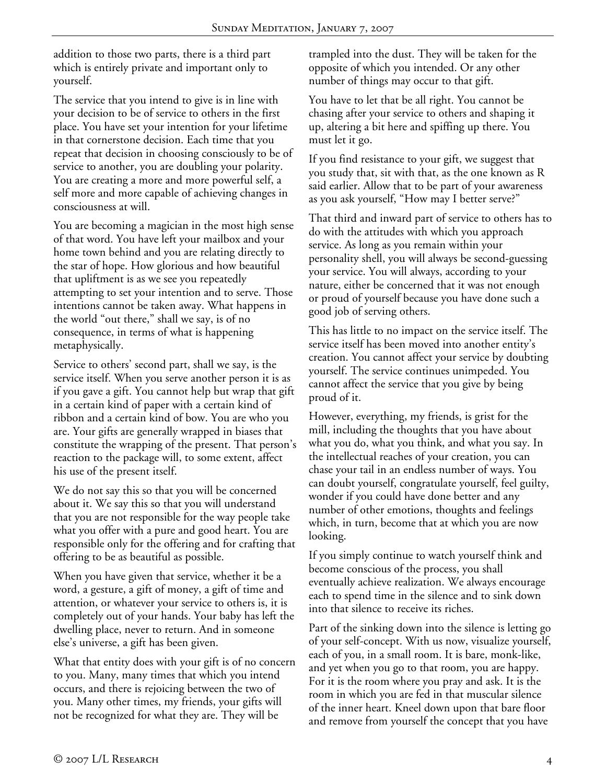addition to those two parts, there is a third part which is entirely private and important only to yourself.

The service that you intend to give is in line with your decision to be of service to others in the first place. You have set your intention for your lifetime in that cornerstone decision. Each time that you repeat that decision in choosing consciously to be of service to another, you are doubling your polarity. You are creating a more and more powerful self, a self more and more capable of achieving changes in consciousness at will.

You are becoming a magician in the most high sense of that word. You have left your mailbox and your home town behind and you are relating directly to the star of hope. How glorious and how beautiful that upliftment is as we see you repeatedly attempting to set your intention and to serve. Those intentions cannot be taken away. What happens in the world "out there," shall we say, is of no consequence, in terms of what is happening metaphysically.

Service to others' second part, shall we say, is the service itself. When you serve another person it is as if you gave a gift. You cannot help but wrap that gift in a certain kind of paper with a certain kind of ribbon and a certain kind of bow. You are who you are. Your gifts are generally wrapped in biases that constitute the wrapping of the present. That person's reaction to the package will, to some extent, affect his use of the present itself.

We do not say this so that you will be concerned about it. We say this so that you will understand that you are not responsible for the way people take what you offer with a pure and good heart. You are responsible only for the offering and for crafting that offering to be as beautiful as possible.

When you have given that service, whether it be a word, a gesture, a gift of money, a gift of time and attention, or whatever your service to others is, it is completely out of your hands. Your baby has left the dwelling place, never to return. And in someone else's universe, a gift has been given.

What that entity does with your gift is of no concern to you. Many, many times that which you intend occurs, and there is rejoicing between the two of you. Many other times, my friends, your gifts will not be recognized for what they are. They will be

trampled into the dust. They will be taken for the opposite of which you intended. Or any other number of things may occur to that gift.

You have to let that be all right. You cannot be chasing after your service to others and shaping it up, altering a bit here and spiffing up there. You must let it go.

If you find resistance to your gift, we suggest that you study that, sit with that, as the one known as R said earlier. Allow that to be part of your awareness as you ask yourself, "How may I better serve?"

That third and inward part of service to others has to do with the attitudes with which you approach service. As long as you remain within your personality shell, you will always be second-guessing your service. You will always, according to your nature, either be concerned that it was not enough or proud of yourself because you have done such a good job of serving others.

This has little to no impact on the service itself. The service itself has been moved into another entity's creation. You cannot affect your service by doubting yourself. The service continues unimpeded. You cannot affect the service that you give by being proud of it.

However, everything, my friends, is grist for the mill, including the thoughts that you have about what you do, what you think, and what you say. In the intellectual reaches of your creation, you can chase your tail in an endless number of ways. You can doubt yourself, congratulate yourself, feel guilty, wonder if you could have done better and any number of other emotions, thoughts and feelings which, in turn, become that at which you are now looking.

If you simply continue to watch yourself think and become conscious of the process, you shall eventually achieve realization. We always encourage each to spend time in the silence and to sink down into that silence to receive its riches.

Part of the sinking down into the silence is letting go of your self-concept. With us now, visualize yourself, each of you, in a small room. It is bare, monk-like, and yet when you go to that room, you are happy. For it is the room where you pray and ask. It is the room in which you are fed in that muscular silence of the inner heart. Kneel down upon that bare floor and remove from yourself the concept that you have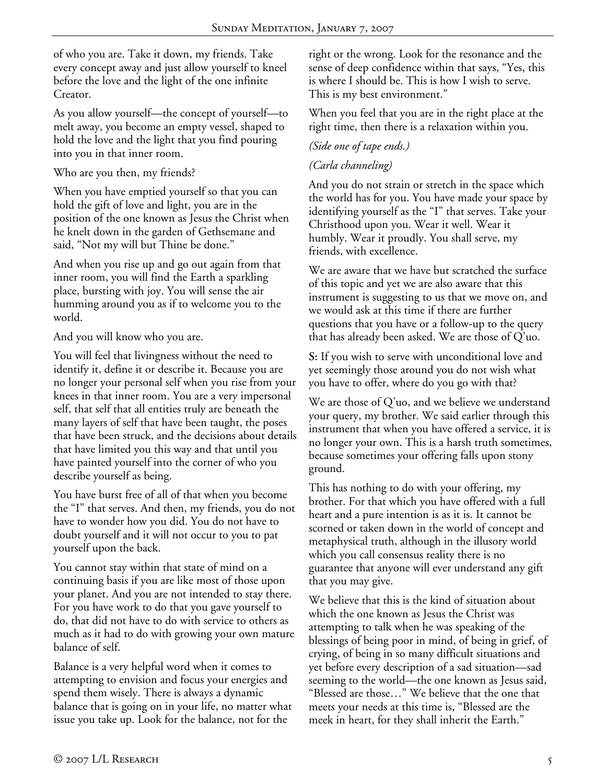of who you are. Take it down, my friends. Take every concept away and just allow yourself to kneel before the love and the light of the one infinite Creator.

As you allow yourself—the concept of yourself—to melt away, you become an empty vessel, shaped to hold the love and the light that you find pouring into you in that inner room.

Who are you then, my friends?

When you have emptied yourself so that you can hold the gift of love and light, you are in the position of the one known as Jesus the Christ when he knelt down in the garden of Gethsemane and said, "Not my will but Thine be done."

And when you rise up and go out again from that inner room, you will find the Earth a sparkling place, bursting with joy. You will sense the air humming around you as if to welcome you to the world.

And you will know who you are.

You will feel that livingness without the need to identify it, define it or describe it. Because you are no longer your personal self when you rise from your knees in that inner room. You are a very impersonal self, that self that all entities truly are beneath the many layers of self that have been taught, the poses that have been struck, and the decisions about details that have limited you this way and that until you have painted yourself into the corner of who you describe yourself as being.

You have burst free of all of that when you become the "I" that serves. And then, my friends, you do not have to wonder how you did. You do not have to doubt yourself and it will not occur to you to pat yourself upon the back.

You cannot stay within that state of mind on a continuing basis if you are like most of those upon your planet. And you are not intended to stay there. For you have work to do that you gave yourself to do, that did not have to do with service to others as much as it had to do with growing your own mature balance of self.

Balance is a very helpful word when it comes to attempting to envision and focus your energies and spend them wisely. There is always a dynamic balance that is going on in your life, no matter what issue you take up. Look for the balance, not for the

right or the wrong. Look for the resonance and the sense of deep confidence within that says, "Yes, this is where I should be. This is how I wish to serve. This is my best environment."

When you feel that you are in the right place at the right time, then there is a relaxation within you.

## *(Side one of tape ends.)*

## *(Carla channeling)*

And you do not strain or stretch in the space which the world has for you. You have made your space by identifying yourself as the "I" that serves. Take your Christhood upon you. Wear it well. Wear it humbly. Wear it proudly. You shall serve, my friends, with excellence.

We are aware that we have but scratched the surface of this topic and yet we are also aware that this instrument is suggesting to us that we move on, and we would ask at this time if there are further questions that you have or a follow-up to the query that has already been asked. We are those of Q'uo.

**S:** If you wish to serve with unconditional love and yet seemingly those around you do not wish what you have to offer, where do you go with that?

We are those of Q'uo, and we believe we understand your query, my brother. We said earlier through this instrument that when you have offered a service, it is no longer your own. This is a harsh truth sometimes, because sometimes your offering falls upon stony ground.

This has nothing to do with your offering, my brother. For that which you have offered with a full heart and a pure intention is as it is. It cannot be scorned or taken down in the world of concept and metaphysical truth, although in the illusory world which you call consensus reality there is no guarantee that anyone will ever understand any gift that you may give.

We believe that this is the kind of situation about which the one known as Jesus the Christ was attempting to talk when he was speaking of the blessings of being poor in mind, of being in grief, of crying, of being in so many difficult situations and yet before every description of a sad situation—sad seeming to the world—the one known as Jesus said, "Blessed are those…" We believe that the one that meets your needs at this time is, "Blessed are the meek in heart, for they shall inherit the Earth."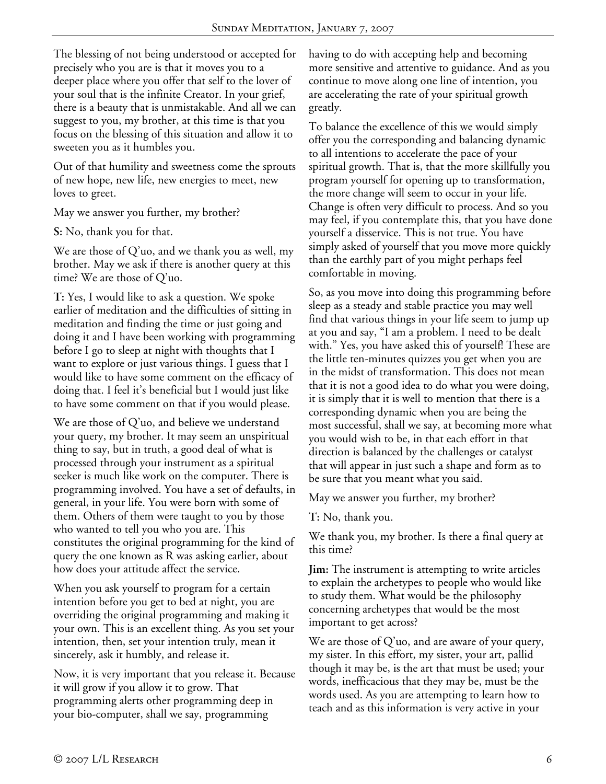The blessing of not being understood or accepted for precisely who you are is that it moves you to a deeper place where you offer that self to the lover of your soul that is the infinite Creator. In your grief, there is a beauty that is unmistakable. And all we can suggest to you, my brother, at this time is that you focus on the blessing of this situation and allow it to sweeten you as it humbles you.

Out of that humility and sweetness come the sprouts of new hope, new life, new energies to meet, new loves to greet.

May we answer you further, my brother?

**S:** No, thank you for that.

We are those of Q'uo, and we thank you as well, my brother. May we ask if there is another query at this time? We are those of Q'uo.

**T:** Yes, I would like to ask a question. We spoke earlier of meditation and the difficulties of sitting in meditation and finding the time or just going and doing it and I have been working with programming before I go to sleep at night with thoughts that I want to explore or just various things. I guess that I would like to have some comment on the efficacy of doing that. I feel it's beneficial but I would just like to have some comment on that if you would please.

We are those of Q'uo, and believe we understand your query, my brother. It may seem an unspiritual thing to say, but in truth, a good deal of what is processed through your instrument as a spiritual seeker is much like work on the computer. There is programming involved. You have a set of defaults, in general, in your life. You were born with some of them. Others of them were taught to you by those who wanted to tell you who you are. This constitutes the original programming for the kind of query the one known as R was asking earlier, about how does your attitude affect the service.

When you ask yourself to program for a certain intention before you get to bed at night, you are overriding the original programming and making it your own. This is an excellent thing. As you set your intention, then, set your intention truly, mean it sincerely, ask it humbly, and release it.

Now, it is very important that you release it. Because it will grow if you allow it to grow. That programming alerts other programming deep in your bio-computer, shall we say, programming

having to do with accepting help and becoming more sensitive and attentive to guidance. And as you continue to move along one line of intention, you are accelerating the rate of your spiritual growth greatly.

To balance the excellence of this we would simply offer you the corresponding and balancing dynamic to all intentions to accelerate the pace of your spiritual growth. That is, that the more skillfully you program yourself for opening up to transformation, the more change will seem to occur in your life. Change is often very difficult to process. And so you may feel, if you contemplate this, that you have done yourself a disservice. This is not true. You have simply asked of yourself that you move more quickly than the earthly part of you might perhaps feel comfortable in moving.

So, as you move into doing this programming before sleep as a steady and stable practice you may well find that various things in your life seem to jump up at you and say, "I am a problem. I need to be dealt with." Yes, you have asked this of yourself! These are the little ten-minutes quizzes you get when you are in the midst of transformation. This does not mean that it is not a good idea to do what you were doing, it is simply that it is well to mention that there is a corresponding dynamic when you are being the most successful, shall we say, at becoming more what you would wish to be, in that each effort in that direction is balanced by the challenges or catalyst that will appear in just such a shape and form as to be sure that you meant what you said.

May we answer you further, my brother?

**T:** No, thank you.

We thank you, my brother. Is there a final query at this time?

**Jim:** The instrument is attempting to write articles to explain the archetypes to people who would like to study them. What would be the philosophy concerning archetypes that would be the most important to get across?

We are those of  $Q'$ uo, and are aware of your query, my sister. In this effort, my sister, your art, pallid though it may be, is the art that must be used; your words, inefficacious that they may be, must be the words used. As you are attempting to learn how to teach and as this information is very active in your